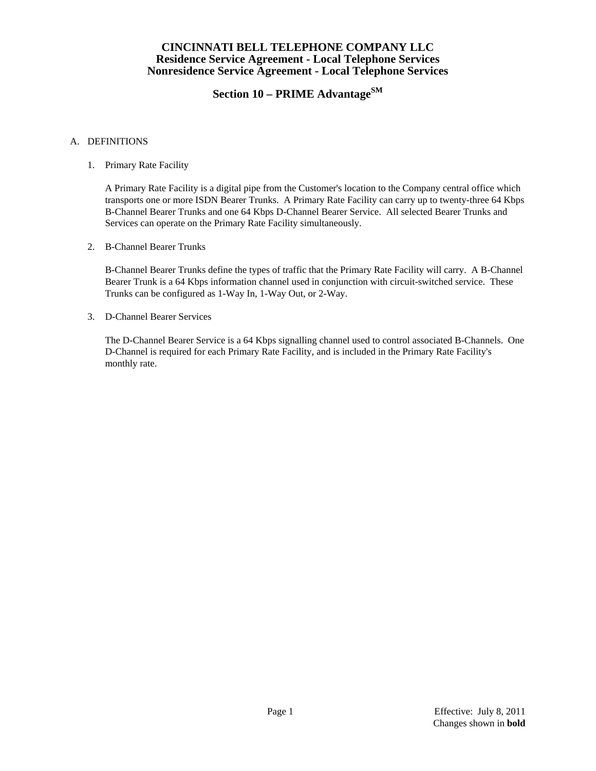# **Section 10 – PRIME AdvantageSM**

### A. DEFINITIONS

1. Primary Rate Facility

 A Primary Rate Facility is a digital pipe from the Customer's location to the Company central office which transports one or more ISDN Bearer Trunks. A Primary Rate Facility can carry up to twenty-three 64 Kbps B-Channel Bearer Trunks and one 64 Kbps D-Channel Bearer Service. All selected Bearer Trunks and Services can operate on the Primary Rate Facility simultaneously.

2. B-Channel Bearer Trunks

 B-Channel Bearer Trunks define the types of traffic that the Primary Rate Facility will carry. A B-Channel Bearer Trunk is a 64 Kbps information channel used in conjunction with circuit-switched service. These Trunks can be configured as 1-Way In, 1-Way Out, or 2-Way.

3. D-Channel Bearer Services

 The D-Channel Bearer Service is a 64 Kbps signalling channel used to control associated B-Channels. One D-Channel is required for each Primary Rate Facility, and is included in the Primary Rate Facility's monthly rate.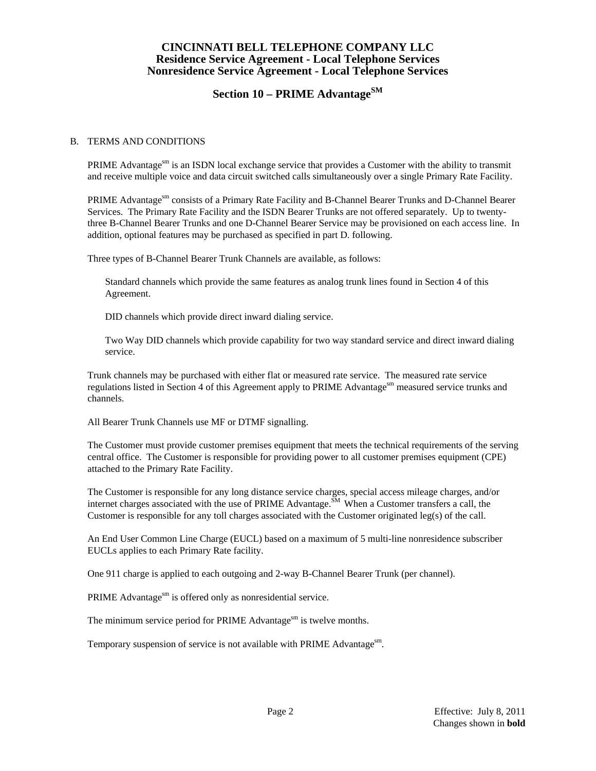# **Section 10 – PRIME AdvantageSM**

#### B. TERMS AND CONDITIONS

PRIME Advantage<sup>sm</sup> is an ISDN local exchange service that provides a Customer with the ability to transmit and receive multiple voice and data circuit switched calls simultaneously over a single Primary Rate Facility.

PRIME Advantagesm consists of a Primary Rate Facility and B-Channel Bearer Trunks and D-Channel Bearer Services. The Primary Rate Facility and the ISDN Bearer Trunks are not offered separately. Up to twentythree B-Channel Bearer Trunks and one D-Channel Bearer Service may be provisioned on each access line. In addition, optional features may be purchased as specified in part D. following.

Three types of B-Channel Bearer Trunk Channels are available, as follows:

 Standard channels which provide the same features as analog trunk lines found in Section 4 of this Agreement.

DID channels which provide direct inward dialing service.

 Two Way DID channels which provide capability for two way standard service and direct inward dialing service.

 Trunk channels may be purchased with either flat or measured rate service. The measured rate service regulations listed in Section 4 of this Agreement apply to PRIME Advantage<sup>sm</sup> measured service trunks and channels.

All Bearer Trunk Channels use MF or DTMF signalling.

 The Customer must provide customer premises equipment that meets the technical requirements of the serving central office. The Customer is responsible for providing power to all customer premises equipment (CPE) attached to the Primary Rate Facility.

 The Customer is responsible for any long distance service charges, special access mileage charges, and/or internet charges associated with the use of PRIME Advantage.<sup>SM</sup> When a Customer transfers a call, the Customer is responsible for any toll charges associated with the Customer originated leg(s) of the call.

 An End User Common Line Charge (EUCL) based on a maximum of 5 multi-line nonresidence subscriber EUCLs applies to each Primary Rate facility.

One 911 charge is applied to each outgoing and 2-way B-Channel Bearer Trunk (per channel).

PRIME Advantage<sup>sm</sup> is offered only as nonresidential service.

The minimum service period for PRIME Advantage<sup>sm</sup> is twelve months.

Temporary suspension of service is not available with PRIME Advantage<sup>sm</sup>.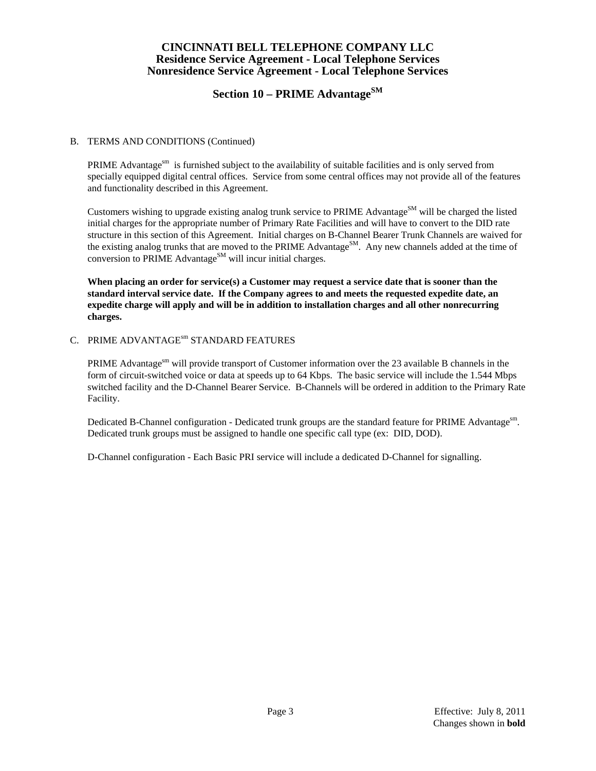# **Section 10 – PRIME AdvantageSM**

### B. TERMS AND CONDITIONS (Continued)

PRIME Advantage $\mathrm{S}^{\mathrm{sm}}$  is furnished subject to the availability of suitable facilities and is only served from specially equipped digital central offices. Service from some central offices may not provide all of the features and functionality described in this Agreement.

Customers wishing to upgrade existing analog trunk service to PRIME Advantage<sup>SM</sup> will be charged the listed initial charges for the appropriate number of Primary Rate Facilities and will have to convert to the DID rate structure in this section of this Agreement. Initial charges on B-Channel Bearer Trunk Channels are waived for the existing analog trunks that are moved to the PRIME Advantage<sup>SM</sup>. Any new channels added at the time of conversion to PRIME Advantage<sup>SM</sup> will incur initial charges.

**When placing an order for service(s) a Customer may request a service date that is sooner than the standard interval service date. If the Company agrees to and meets the requested expedite date, an expedite charge will apply and will be in addition to installation charges and all other nonrecurring charges.** 

#### C. PRIME ADVANTAGE<sup>sm</sup> STANDARD FEATURES

PRIME Advantage<sup>sm</sup> will provide transport of Customer information over the 23 available B channels in the form of circuit-switched voice or data at speeds up to 64 Kbps. The basic service will include the 1.544 Mbps switched facility and the D-Channel Bearer Service. B-Channels will be ordered in addition to the Primary Rate Facility.

Dedicated B-Channel configuration - Dedicated trunk groups are the standard feature for PRIME Advantage<sup>sm</sup>. Dedicated trunk groups must be assigned to handle one specific call type (ex: DID, DOD).

D-Channel configuration - Each Basic PRI service will include a dedicated D-Channel for signalling.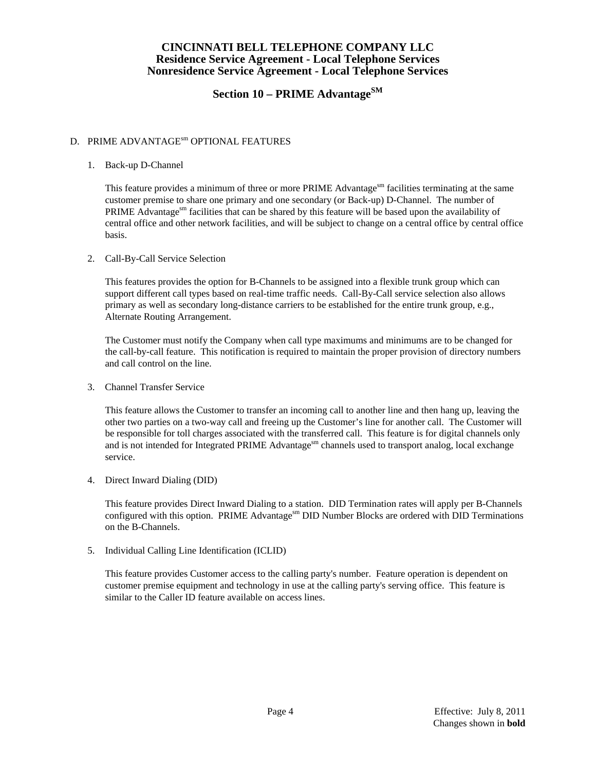# **Section 10 – PRIME AdvantageSM**

## D. PRIME ADVANTAGE<sup>sm</sup> OPTIONAL FEATURES

### 1. Back-up D-Channel

This feature provides a minimum of three or more PRIME Advantages as facilities terminating at the same customer premise to share one primary and one secondary (or Back-up) D-Channel. The number of PRIME Advantages find facilities that can be shared by this feature will be based upon the availability of central office and other network facilities, and will be subject to change on a central office by central office basis.

### 2. Call-By-Call Service Selection

 This features provides the option for B-Channels to be assigned into a flexible trunk group which can support different call types based on real-time traffic needs. Call-By-Call service selection also allows primary as well as secondary long-distance carriers to be established for the entire trunk group, e.g., Alternate Routing Arrangement.

 The Customer must notify the Company when call type maximums and minimums are to be changed for the call-by-call feature. This notification is required to maintain the proper provision of directory numbers and call control on the line.

3. Channel Transfer Service

 This feature allows the Customer to transfer an incoming call to another line and then hang up, leaving the other two parties on a two-way call and freeing up the Customer's line for another call. The Customer will be responsible for toll charges associated with the transferred call. This feature is for digital channels only and is not intended for Integrated PRIME Advantage<sup>sm</sup> channels used to transport analog, local exchange service.

4. Direct Inward Dialing (DID)

 This feature provides Direct Inward Dialing to a station. DID Termination rates will apply per B-Channels configured with this option. PRIME Advantagesm DID Number Blocks are ordered with DID Terminations on the B-Channels.

5. Individual Calling Line Identification (ICLID)

 This feature provides Customer access to the calling party's number. Feature operation is dependent on customer premise equipment and technology in use at the calling party's serving office. This feature is similar to the Caller ID feature available on access lines.